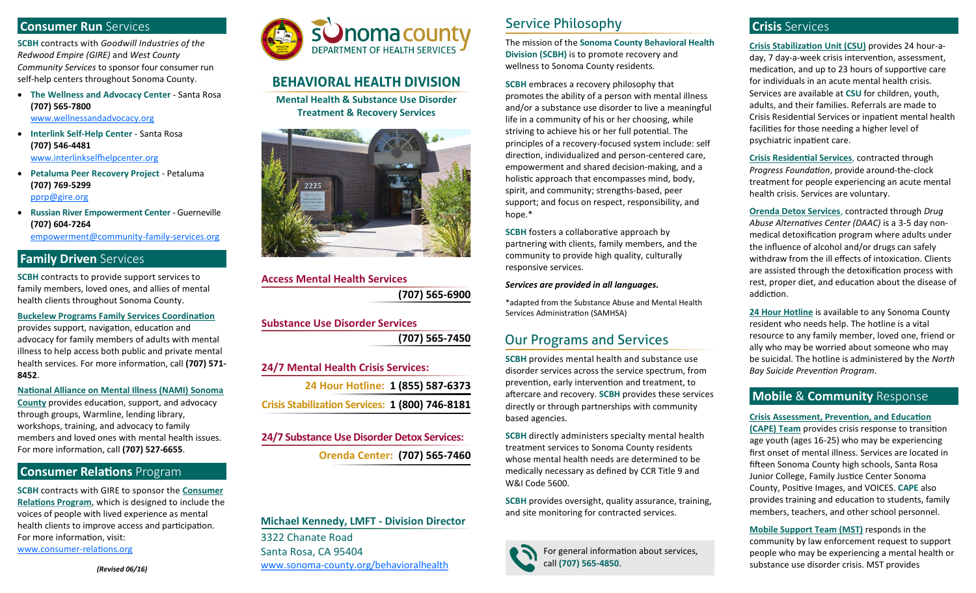#### **Consumer Run** Services

**SCBH** contracts with *Goodwill Industries of the Redwood Empire (GIRE)* and *West County Community Services* to sponsor four consumer run self-help centers throughout Sonoma County.

- **The Wellness and Advocacy Center**  Santa Rosa **(707) 565-7800** [www.wellnessandadvocacy.org](http://www.wellnessandadvocacy.org)
- **Interlink Self-Help Center**  Santa Rosa **(707) 546-4481** [www.interlinkselfhelpcenter.org](http://www.interlinkselfhelpcenter.org)
- **Petaluma Peer Recovery Project**  Petaluma **(707) 769-5299** [pprp@gire.org](mailto:pprp@gire.org)
- **Russian River Empowerment Center**  Guerneville **(707) 604-7264**

[empowerment@community](mailto:empowerment@community-family-services.org)-family-services.org

### **Family Driven** Services

**SCBH** contracts to provide support services to family members, loved ones, and allies of mental health clients throughout Sonoma County.

**Buckelew Programs Family Services Coordination**  provides support, navigation, education and advocacy for family members of adults with mental illness to help access both public and private mental health services. For more information, call **(707) 571- 8452**.

**National Alliance on Mental Illness (NAMI) Sonoma County** provides education, support, and advocacy through groups, Warmline, lending library, workshops, training, and advocacy to family members and loved ones with mental health issues. For more information, call **(707) 527-6655**.

#### **Consumer Relations** Program

**SCBH** contracts with GIRE to sponsor the **Consumer Relations Program**, which is designed to include the voices of people with lived experience as mental health clients to improve access and participation. For more information, visit: [www.consumer](http://www.consumer-relations.org)-relations.org



## **BEHAVIORAL HEALTH DIVISION**

**Mental Health & Substance Use Disorder Treatment & Recovery Services**



**Access Mental Health Services (707) 565-6900**

### **Substance Use Disorder Services (707) 565-7450**

**24 Hour Hotline: 1 (855) 587-6373 Crisis Stabilization Services: 1 (800) 746-8181**

**Orenda Center: (707) 565-7460 24/7 Substance Use Disorder Detox Services:**

**Michael Kennedy, LMFT - Division Director** 3322 Chanate Road Santa Rosa, CA 95404 www.sonoma-[county.org/behavioralhealth](http://www.sonoma-county.org/behavioralhealth)

# Service Philosophy

The mission of the **Sonoma County Behavioral Health Division (SCBH)** is to promote recovery and wellness to Sonoma County residents.

**SCBH** embraces a recovery philosophy that promotes the ability of a person with mental illness and/or a substance use disorder to live a meaningful life in a community of his or her choosing, while striving to achieve his or her full potential. The principles of a recovery-focused system include: self direction, individualized and person-centered care, empowerment and shared decision-making, and a holistic approach that encompasses mind, body, spirit, and community; strengths-based, peer support; and focus on respect, responsibility, and hope.\*

**SCBH** fosters a collaborative approach by partnering with clients, family members, and the community to provide high quality, culturally responsive services.

#### *Services are provided in all languages.*

\*adapted from the Substance Abuse and Mental Health Services Administration (SAMHSA)

### Our Programs and Services

**SCBH** provides mental health and substance use 24/7 Mental Health Crisis Services: *Bay Suicide Prevention Program*. *Bay Suicide Prevention Program*. prevention, early intervention and treatment, to aftercare and recovery. **SCBH** provides these services directly or through partnerships with community based agencies.

> **SCBH** directly administers specialty mental health treatment services to Sonoma County residents whose mental health needs are determined to be medically necessary as defined by CCR Title 9 and W&I Code 5600.

**SCBH** provides oversight, quality assurance, training, and site monitoring for contracted services.



For general information about services, call **(707) 565-4850**.

### **Crisis** Services

**Crisis Stabilization Unit (CSU)** provides 24 hour-aday, 7 day-a-week crisis intervention, assessment, medication, and up to 23 hours of supportive care for individuals in an acute mental health crisis. Services are available at **CSU** for children, youth, adults, and their families. Referrals are made to Crisis Residential Services or inpatient mental health facilities for those needing a higher level of psychiatric inpatient care.

**Crisis Residential Services**, contracted through *Progress Foundation*, provide around-the-clock treatment for people experiencing an acute mental health crisis. Services are voluntary.

**Orenda Detox Services**, contracted through *Drug Abuse Alternatives Center (DAAC)* is a 3-5 day nonmedical detoxification program where adults under the influence of alcohol and/or drugs can safely withdraw from the ill effects of intoxication. Clients are assisted through the detoxification process with rest, proper diet, and education about the disease of addiction.

**24 Hour Hotline** is available to any Sonoma County resident who needs help. The hotline is a vital resource to any family member, loved one, friend or ally who may be worried about someone who may be suicidal. The hotline is administered by the *North* 

### **Mobile** & **Community** Response

#### **Crisis Assessment, Prevention, and Education**

**(CAPE) Team** provides crisis response to transition age youth (ages 16-25) who may be experiencing first onset of mental illness. Services are located in fifteen Sonoma County high schools, Santa Rosa Junior College, Family Justice Center Sonoma County, Positive Images, and VOICES. **CAPE** also provides training and education to students, family members, teachers, and other school personnel.

**Mobile Support Team (MST)** responds in the community by law enforcement request to support people who may be experiencing a mental health or substance use disorder crisis. MST provides